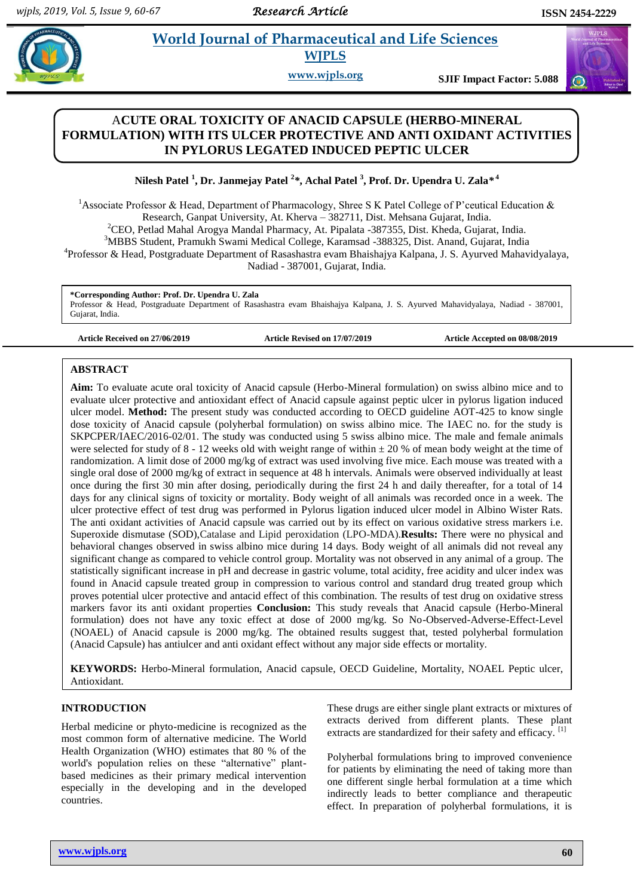# **Para** *World Journal of Pharmaceutical and Life Sciences* **WJPLS**

**www.wjpls.org SJIF Impact Factor: 5.088**

# A**CUTE ORAL TOXICITY OF ANACID CAPSULE (HERBO-MINERAL FORMULATION) WITH ITS ULCER PROTECTIVE AND ANTI OXIDANT ACTIVITIES IN PYLORUS LEGATED INDUCED PEPTIC ULCER**

**Nilesh Patel <sup>1</sup> , Dr. Janmejay Patel <sup>2</sup>** *\****, Achal Patel <sup>3</sup> , Prof. Dr. Upendra U. Zala***\** **4**

<sup>1</sup>Associate Professor & Head, Department of Pharmacology, Shree S K Patel College of P'ceutical Education & Research, Ganpat University, At. Kherva – 382711, Dist. Mehsana Gujarat, India. <sup>2</sup>CEO, Petlad Mahal Arogya Mandal Pharmacy, At. Pipalata -387355, Dist. Kheda, Gujarat, India. <sup>3</sup>MBBS Student, Pramukh Swami Medical College, Karamsad -388325, Dist. Anand, Gujarat, India 4 Professor & Head, Postgraduate Department of Rasashastra evam Bhaishajya Kalpana, J. S. Ayurved Mahavidyalaya,

Nadiad - 387001, Gujarat, India.

**\*Corresponding Author: Prof. Dr. Upendra U. Zala** Professor & Head, Postgraduate Department of Rasashastra evam Bhaishajya Kalpana, J. S. Ayurved Mahavidyalaya, Nadiad - 387001, Gujarat, India.

**Article Received on 27/06/2019 Article Revised on 17/07/2019 Article Accepted on 08/08/2019**

## **ABSTRACT**

**Aim:** To evaluate acute oral toxicity of Anacid capsule (Herbo-Mineral formulation) on swiss albino mice and to evaluate ulcer protective and antioxidant effect of Anacid capsule against peptic ulcer in pylorus ligation induced ulcer model. **Method:** The present study was conducted according to OECD guideline AOT-425 to know single dose toxicity of Anacid capsule (polyherbal formulation) on swiss albino mice. The IAEC no. for the study is SKPCPER/IAEC/2016-02/01. The study was conducted using 5 swiss albino mice. The male and female animals were selected for study of  $8 - 12$  weeks old with weight range of within  $\pm 20$  % of mean body weight at the time of randomization. A limit dose of 2000 mg/kg of extract was used involving five mice. Each mouse was treated with a single oral dose of 2000 mg/kg of extract in sequence at 48 h intervals. Animals were observed individually at least once during the first 30 min after dosing, periodically during the first 24 h and daily thereafter, for a total of 14 days for any clinical signs of toxicity or mortality. Body weight of all animals was recorded once in a week. The ulcer protective effect of test drug was performed in Pylorus ligation induced ulcer model in Albino Wister Rats. The anti oxidant activities of Anacid capsule was carried out by its effect on various oxidative stress markers i.e. Superoxide dismutase (SOD),Catalase and Lipid peroxidation (LPO-MDA).**Results:** There were no physical and behavioral changes observed in swiss albino mice during 14 days. Body weight of all animals did not reveal any significant change as compared to vehicle control group. Mortality was not observed in any animal of a group. The statistically significant increase in pH and decrease in gastric volume, total acidity, free acidity and ulcer index was found in Anacid capsule treated group in compression to various control and standard drug treated group which proves potential ulcer protective and antacid effect of this combination. The results of test drug on oxidative stress markers favor its anti oxidant properties **Conclusion:** This study reveals that Anacid capsule (Herbo-Mineral formulation) does not have any toxic effect at dose of 2000 mg/kg. So No-Observed-Adverse-Effect-Level (NOAEL) of Anacid capsule is 2000 mg/kg. The obtained results suggest that, tested polyherbal formulation (Anacid Capsule) has antiulcer and anti oxidant effect without any major side effects or mortality.

**KEYWORDS:** Herbo-Mineral formulation, Anacid capsule, OECD Guideline, Mortality, NOAEL Peptic ulcer, Antioxidant.

# **INTRODUCTION**

Herbal medicine or phyto-medicine is recognized as the most common form of alternative medicine. The World Health Organization (WHO) estimates that 80 % of the world's population relies on these "alternative" plantbased medicines as their primary medical intervention especially in the developing and in the developed countries.

These drugs are either single plant extracts or mixtures of extracts derived from different plants. These plant extracts are standardized for their safety and efficacy. [1]

Polyherbal formulations bring to improved convenience for patients by eliminating the need of taking more than one different single herbal formulation at a time which indirectly leads to better compliance and therapeutic effect. In preparation of polyherbal formulations, it is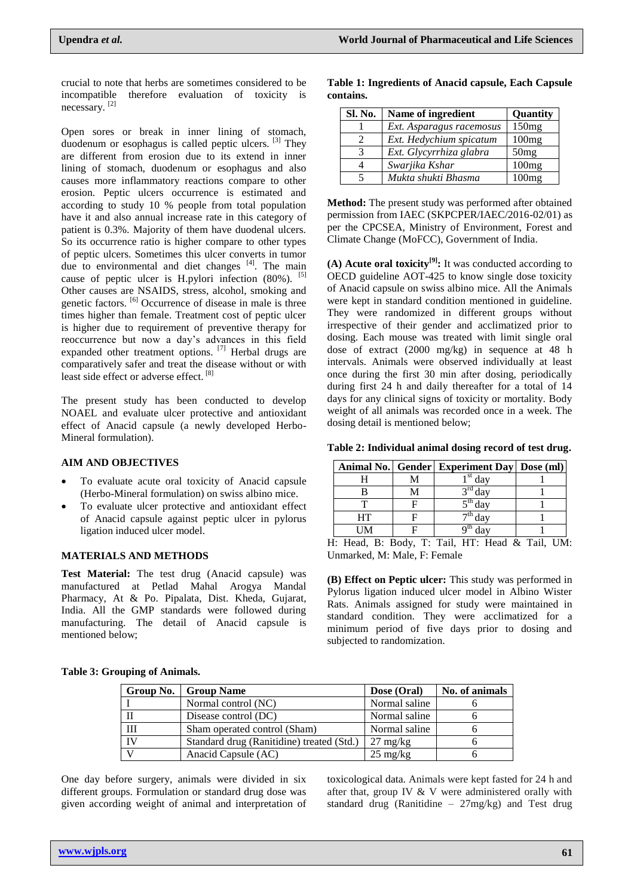crucial to note that herbs are sometimes considered to be incompatible therefore evaluation of toxicity is necessary. [2]

Open sores or break in inner lining of stomach, duodenum or esophagus is called peptic ulcers. <sup>[3]</sup> They are different from erosion due to its extend in inner lining of stomach, duodenum or esophagus and also causes more inflammatory reactions compare to other erosion. Peptic ulcers occurrence is estimated and according to study 10 % people from total population have it and also annual increase rate in this category of patient is 0.3%. Majority of them have duodenal ulcers. So its occurrence ratio is higher compare to other types of peptic ulcers. Sometimes this ulcer converts in tumor due to environmental and diet changes  $[4]$ . The main cause of peptic ulcer is H.pylori infection  $(80\%)$ . <sup>[5]</sup> Other causes are NSAIDS, stress, alcohol, smoking and genetic factors. <sup>[6]</sup> Occurrence of disease in male is three times higher than female. Treatment cost of peptic ulcer is higher due to requirement of preventive therapy for reoccurrence but now a day's advances in this field expanded other treatment options. [7] Herbal drugs are comparatively safer and treat the disease without or with least side effect or adverse effect. [8]

The present study has been conducted to develop NOAEL and evaluate ulcer protective and antioxidant effect of Anacid capsule (a newly developed Herbo-Mineral formulation).

#### **AIM AND OBJECTIVES**

- To evaluate acute oral toxicity of Anacid capsule (Herbo-Mineral formulation) on swiss albino mice.
- To evaluate ulcer protective and antioxidant effect of Anacid capsule against peptic ulcer in pylorus ligation induced ulcer model.

### **MATERIALS AND METHODS**

**Test Material:** The test drug (Anacid capsule) was manufactured at Petlad Mahal Arogya Mandal Pharmacy, At & Po. Pipalata, Dist. Kheda, Gujarat, India. All the GMP standards were followed during manufacturing. The detail of Anacid capsule is mentioned below;

|           | Table 1: Ingredients of Anacid capsule, Each Capsule |  |  |
|-----------|------------------------------------------------------|--|--|
| contains. |                                                      |  |  |

| Sl. No. | Name of ingredient       | Quantity |
|---------|--------------------------|----------|
|         | Ext. Asparagus racemosus | 150mg    |
|         | Ext. Hedychium spicatum  | 100mg    |
|         | Ext. Glycyrrhiza glabra  | 50mg     |
|         | Swarjika Kshar           | 100mg    |
|         | Mukta shukti Bhasma      | 100mg    |

**Method:** The present study was performed after obtained permission from IAEC (SKPCPER/IAEC/2016-02/01) as per the CPCSEA, Ministry of Environment, Forest and Climate Change (MoFCC), Government of India.

**(A) Acute oral toxicity[9]:** It was conducted according to OECD guideline AOT-425 to know single dose toxicity of Anacid capsule on swiss albino mice. All the Animals were kept in standard condition mentioned in guideline. They were randomized in different groups without irrespective of their gender and acclimatized prior to dosing. Each mouse was treated with limit single oral dose of extract (2000 mg/kg) in sequence at 48 h intervals. Animals were observed individually at least once during the first 30 min after dosing, periodically during first 24 h and daily thereafter for a total of 14 days for any clinical signs of toxicity or mortality. Body weight of all animals was recorded once in a week. The dosing detail is mentioned below;

**Table 2: Individual animal dosing record of test drug.**

|           | Animal No.   Gender   Experiment Day   Dose (ml) |  |
|-----------|--------------------------------------------------|--|
|           | $1st$ day                                        |  |
|           | $3rd$ day                                        |  |
|           | $5^{\text{th}}$ day                              |  |
| <b>HT</b> | $\overline{\sigma^{th}}$ dav                     |  |
| UM        | $\frac{\partial^{th}}{\partial av}$              |  |
|           | 4. Head R. Rody T. Tail HT. Head & Tail          |  |

H: Head, B: Body, T: Tail, HT: Head & Tail, UM: Unmarked, M: Male, F: Female

**(B) Effect on Peptic ulcer:** This study was performed in Pylorus ligation induced ulcer model in Albino Wister Rats. Animals assigned for study were maintained in standard condition. They were acclimatized for a minimum period of five days prior to dosing and subjected to randomization.

|  |  |  |  | <b>Table 3: Grouping of Animals.</b> |
|--|--|--|--|--------------------------------------|
|--|--|--|--|--------------------------------------|

| Group No. | <b>Group Name</b>                         | Dose (Oral)        | No. of animals |
|-----------|-------------------------------------------|--------------------|----------------|
|           | Normal control (NC)                       | Normal saline      |                |
|           | Disease control (DC)                      | Normal saline      |                |
| Ш         | Sham operated control (Sham)              | Normal saline      |                |
| IV        | Standard drug (Ranitidine) treated (Std.) | $27 \text{ mg/kg}$ |                |
|           | Anacid Capsule (AC)                       | $25 \text{ mg/kg}$ |                |

One day before surgery, animals were divided in six different groups. Formulation or standard drug dose was given according weight of animal and interpretation of toxicological data. Animals were kept fasted for 24 h and after that, group IV & V were administered orally with standard drug (Ranitidine – 27mg/kg) and Test drug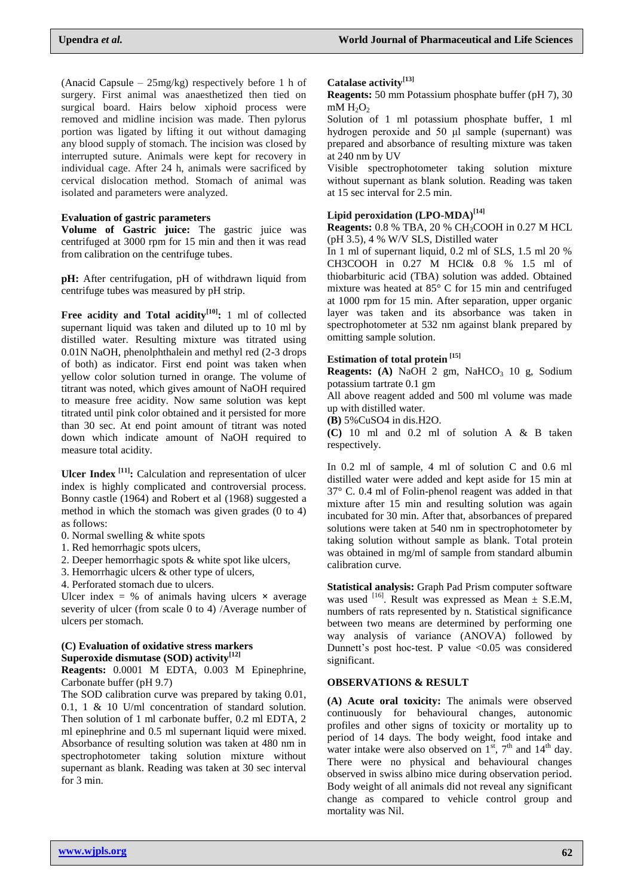(Anacid Capsule – 25mg/kg) respectively before 1 h of surgery. First animal was anaesthetized then tied on surgical board. Hairs below xiphoid process were removed and midline incision was made. Then pylorus portion was ligated by lifting it out without damaging any blood supply of stomach. The incision was closed by interrupted suture. Animals were kept for recovery in individual cage. After 24 h, animals were sacrificed by cervical dislocation method. Stomach of animal was isolated and parameters were analyzed.

#### **Evaluation of gastric parameters**

**Volume of Gastric juice:** The gastric juice was centrifuged at 3000 rpm for 15 min and then it was read from calibration on the centrifuge tubes.

**pH:** After centrifugation, pH of withdrawn liquid from centrifuge tubes was measured by pH strip.

**Free acidity and Total acidity[10]:** 1 ml of collected supernant liquid was taken and diluted up to 10 ml by distilled water. Resulting mixture was titrated using 0.01N NaOH, phenolphthalein and methyl red (2-3 drops of both) as indicator. First end point was taken when yellow color solution turned in orange. The volume of titrant was noted, which gives amount of NaOH required to measure free acidity. Now same solution was kept titrated until pink color obtained and it persisted for more than 30 sec. At end point amount of titrant was noted down which indicate amount of NaOH required to measure total acidity.

**Ulcer Index [11]:** Calculation and representation of ulcer index is highly complicated and controversial process. Bonny castle (1964) and Robert et al (1968) suggested a method in which the stomach was given grades (0 to 4) as follows:

- 0. Normal swelling & white spots
- 1. Red hemorrhagic spots ulcers,
- 2. Deeper hemorrhagic spots & white spot like ulcers,
- 3. Hemorrhagic ulcers & other type of ulcers,
- 4. Perforated stomach due to ulcers.

Ulcer index  $=$  % of animals having ulcers  $\times$  average severity of ulcer (from scale 0 to 4) /Average number of ulcers per stomach.

### **(C) Evaluation of oxidative stress markers Superoxide dismutase (SOD) activity[12]**

**Reagents:** 0.0001 M EDTA, 0.003 M Epinephrine, Carbonate buffer (pH 9.7)

The SOD calibration curve was prepared by taking 0.01, 0.1, 1 & 10 U/ml concentration of standard solution. Then solution of 1 ml carbonate buffer, 0.2 ml EDTA, 2 ml epinephrine and 0.5 ml supernant liquid were mixed. Absorbance of resulting solution was taken at 480 nm in spectrophotometer taking solution mixture without supernant as blank. Reading was taken at 30 sec interval for 3 min.

#### **Catalase activity[13]**

**Reagents:** 50 mm Potassium phosphate buffer (pH 7), 30  $mM H<sub>2</sub>O<sub>2</sub>$ 

Solution of 1 ml potassium phosphate buffer, 1 ml hydrogen peroxide and 50 μl sample (supernant) was prepared and absorbance of resulting mixture was taken at 240 nm by UV

Visible spectrophotometer taking solution mixture without supernant as blank solution. Reading was taken at 15 sec interval for 2.5 min.

# **Lipid peroxidation (LPO-MDA)[14]**

**Reagents:** 0.8 % TBA, 20 % CH3COOH in 0.27 M HCL (pH 3.5), 4 % W/V SLS, Distilled water

In 1 ml of supernant liquid, 0.2 ml of SLS, 1.5 ml 20 % CH3COOH in 0.27 M HCl& 0.8 % 1.5 ml of thiobarbituric acid (TBA) solution was added. Obtained mixture was heated at 85° C for 15 min and centrifuged at 1000 rpm for 15 min. After separation, upper organic layer was taken and its absorbance was taken in spectrophotometer at 532 nm against blank prepared by omitting sample solution.

#### **Estimation of total protein [15]**

**Reagents:** (A) NaOH 2 gm, NaHCO<sub>3</sub> 10 g, Sodium potassium tartrate 0.1 gm

All above reagent added and 500 ml volume was made up with distilled water.

**(B)** 5%CuSO4 in dis.H2O.

**(C)** 10 ml and 0.2 ml of solution A & B taken respectively.

In 0.2 ml of sample, 4 ml of solution C and 0.6 ml distilled water were added and kept aside for 15 min at 37° C. 0.4 ml of Folin-phenol reagent was added in that mixture after 15 min and resulting solution was again incubated for 30 min. After that, absorbances of prepared solutions were taken at 540 nm in spectrophotometer by taking solution without sample as blank. Total protein was obtained in mg/ml of sample from standard albumin calibration curve.

**Statistical analysis:** Graph Pad Prism computer software was used  $^{[16]}$ . Result was expressed as Mean  $\pm$  S.E.M, numbers of rats represented by n. Statistical significance between two means are determined by performing one way analysis of variance (ANOVA) followed by Dunnett's post hoc-test. P value <0.05 was considered significant.

#### **OBSERVATIONS & RESULT**

**(A) Acute oral toxicity:** The animals were observed continuously for behavioural changes, autonomic profiles and other signs of toxicity or mortality up to period of 14 days. The body weight, food intake and water intake were also observed on  $1<sup>st</sup>$ ,  $7<sup>th</sup>$  and  $14<sup>th</sup>$  day. There were no physical and behavioural changes observed in swiss albino mice during observation period. Body weight of all animals did not reveal any significant change as compared to vehicle control group and mortality was Nil.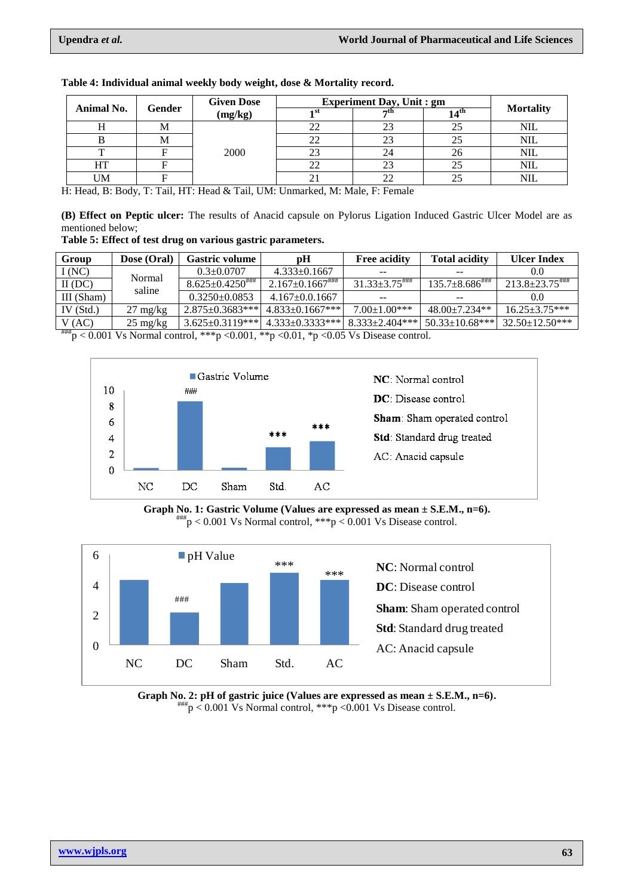| Animal No. |        | <b>Given Dose</b><br>(mg/kg) | <b>Experiment Day, Unit : gm</b> |                  |                  |                  |            |
|------------|--------|------------------------------|----------------------------------|------------------|------------------|------------------|------------|
|            | Gender |                              | ⊣ st                             | $\rightarrow$ th | $14^{\text{th}}$ | <b>Mortality</b> |            |
|            |        | ΙVΙ                          | 2000                             |                  |                  |                  | NIL        |
|            |        | <b>IVI</b>                   |                                  |                  |                  |                  | NIL        |
|            |        |                              |                                  |                  |                  | 26               | <b>NIL</b> |
|            | HT     |                              |                                  | 22               |                  | 25               | NIL        |
|            | UM     |                              |                                  |                  |                  |                  | NIL        |

**Table 4: Individual animal weekly body weight, dose & Mortality record.**

H: Head, B: Body, T: Tail, HT: Head & Tail, UM: Unmarked, M: Male, F: Female

**(B) Effect on Peptic ulcer:** The results of Anacid capsule on Pylorus Ligation Induced Gastric Ulcer Model are as mentioned below;

**Table 5: Effect of test drug on various gastric parameters.** 

| Group       | Dose (Oral)        | Gastric volume         | pН                 | <b>Free acidity</b>   | <b>Total acidity</b>           | <b>Ulcer Index</b>    |
|-------------|--------------------|------------------------|--------------------|-----------------------|--------------------------------|-----------------------|
| I(NC)       | Normal<br>saline   | $0.3 \pm 0.0707$       | $4.333 \pm 0.1667$ |                       |                                |                       |
| $II$ (DC)   |                    | $8.625 \pm 0.4250$     | $2.167 \pm 0.1667$ | $31.33 \pm 3.75$      | $135.7\pm8.686$ <sup>###</sup> |                       |
| III (Sham)  |                    | $0.3250+0.0853$        | $4.167 + 0.01667$  | $- -$                 | $- -$                          |                       |
| IV $(Std.)$ | $27 \text{ mg/kg}$ | $2.875 \pm 0.3683$ *** | $4.833+0.1667***$  | $7.00 \pm 1.00$ ***   | $48.00+7.234**$                | $16.25 \pm 3.75***$   |
| V(AC)       | $25 \text{ mg/kg}$ | $3.625 \pm 0.3119$ *** | $4.333+0.3333**$   | $8.333 \pm 2.404$ *** | $50.33 \pm 10.68$ ***          | $32.50 \pm 12.50$ *** |

 $^{***}p < 0.001$  Vs Normal control, \*\*\*p <0.001, \*\*p <0.01, \*p <0.05 Vs Disease control.



**Graph No. 1: Gastric Volume (Values are expressed as mean ± S.E.M., n=6).**  $^{#}_{p}$  = 0.001 Vs Normal control,  $^{**}$  p < 0.001 Vs Disease control.



**Graph No. 2: pH of gastric juice (Values are expressed as mean ± S.E.M., n=6).**  $^{***}p < 0.001$  Vs Normal control,  $^{***}p < 0.001$  Vs Disease control.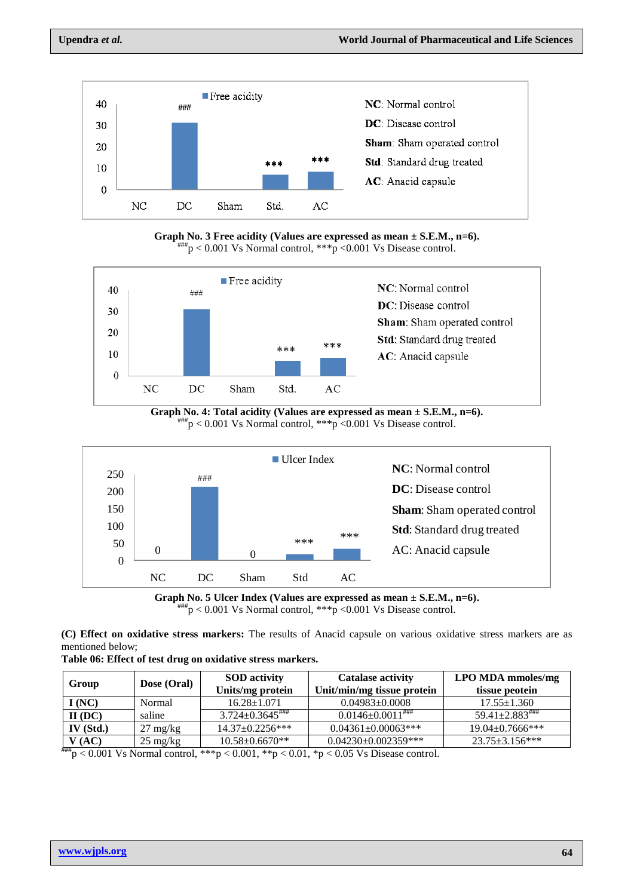

**Graph No. 3 Free acidity (Values are expressed as mean ± S.E.M., n=6).**  $^{#H#}p < 0.001$  Vs Normal control,  $^{**}p < 0.001$  Vs Disease control.



**Graph No. 4: Total acidity (Values are expressed as mean ± S.E.M., n=6).**  $^{***}p$  < 0.001 Vs Normal control, \*\*\*p < 0.001 Vs Disease control.





**(C) Effect on oxidative stress markers:** The results of Anacid capsule on various oxidative stress markers are as mentioned below;

|  |  |  | Table 06: Effect of test drug on oxidative stress markers. |  |  |
|--|--|--|------------------------------------------------------------|--|--|
|--|--|--|------------------------------------------------------------|--|--|

| Group         | Dose (Oral)        | <b>SOD</b> activity<br>Units/mg protein | <b>Catalase activity</b><br>Unit/min/mg tissue protein | <b>LPO MDA mmoles/mg</b><br>tissue peotein |
|---------------|--------------------|-----------------------------------------|--------------------------------------------------------|--------------------------------------------|
| I(NC)         | Normal             | $16.28 \pm 1.071$                       | $0.04983 \pm 0.0008$                                   | $17.55 \pm 1.360$                          |
| $II$ (DC)     | saline             | $3.724 \pm 0.3645$                      | $0.0146 \pm 0.0011$ ###                                | $59.41 \pm 2.883$ <sup>\\\\\\right\}</sup> |
| $IV$ (Std.)   | $27 \text{ mg/kg}$ | $14.37 \pm 0.2256$ ***                  | $0.04361 \pm 0.00063$ ***                              | $19.04 \pm 0.7666$ ***                     |
| V(AC)<br>**** | $25 \text{ mg/kg}$ | $10.58 \pm 0.6670**$                    | $0.04230 \pm 0.002359$ ***                             | $23.75 \pm 3.156$ ***                      |

 $^{#H}_{p}$   $> 0.001$  Vs Normal control, \*\*\*p  $< 0.001$ , \*\*p  $< 0.01$ , \*p  $< 0.05$  Vs Disease control.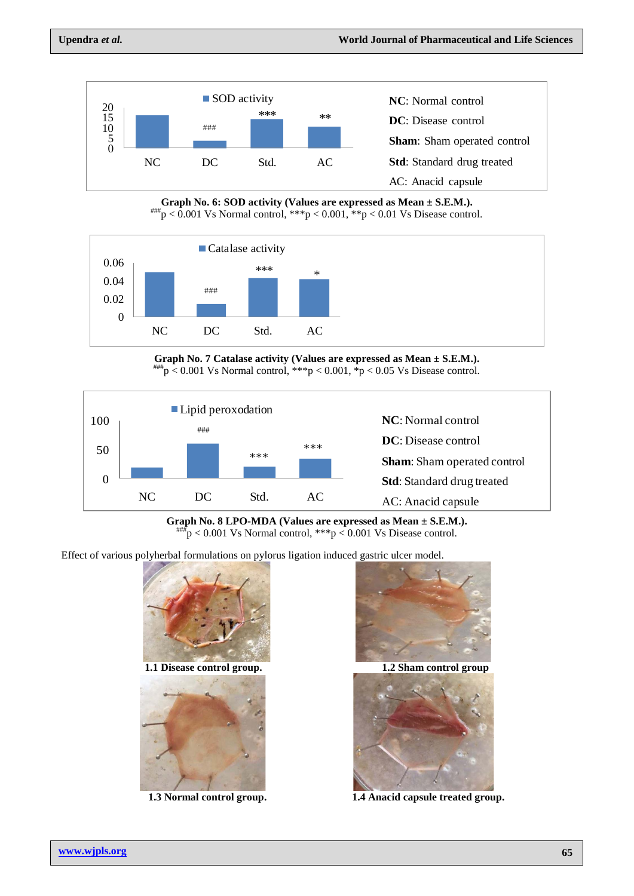

**Graph No. 6: SOD activity (Values are expressed as Mean ± S.E.M.).**  $\mu_{\text{p}} < 0.001 \text{ Vs}$  Normal control,  $\mu_{\text{p}} < 0.001$ ,  $\mu_{\text{p}} < 0.01 \text{ Vs}$  Disease control.



**Graph No. 7 Catalase activity (Values are expressed as Mean ± S.E.M.).**  $^{***}p$  < 0.001 Vs Normal control, \*\*\*p < 0.001, \*p < 0.05 Vs Disease control.



**Graph No. 8 LPO-MDA (Values are expressed as Mean ± S.E.M.).**  $^{***}$ p < 0.001 Vs Normal control, \*\*\*p < 0.001 Vs Disease control.

Effect of various polyherbal formulations on pylorus ligation induced gastric ulcer model.



1.3 Normal control group.



1.4 Anacid capsule treated group.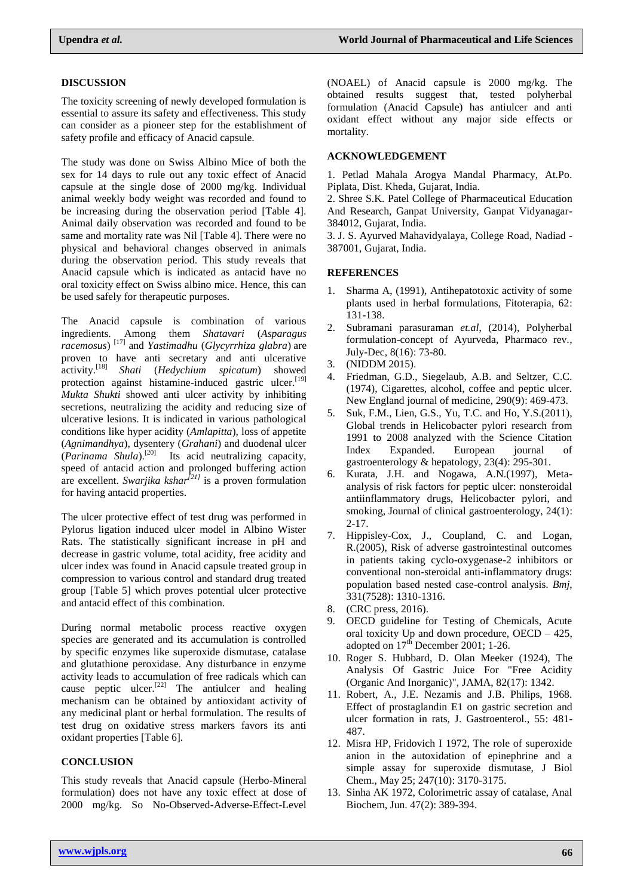#### **DISCUSSION**

The toxicity screening of newly developed formulation is essential to assure its safety and effectiveness. This study can consider as a pioneer step for the establishment of safety profile and efficacy of Anacid capsule.

The study was done on Swiss Albino Mice of both the sex for 14 days to rule out any toxic effect of Anacid capsule at the single dose of 2000 mg/kg. Individual animal weekly body weight was recorded and found to be increasing during the observation period [Table 4]. Animal daily observation was recorded and found to be same and mortality rate was Nil [Table 4]. There were no physical and behavioral changes observed in animals during the observation period. This study reveals that Anacid capsule which is indicated as antacid have no oral toxicity effect on Swiss albino mice. Hence, this can be used safely for therapeutic purposes.

The Anacid capsule is combination of various ingredients. Among them *Shatavari* (*Asparagus racemosus*) [17] and *Yastimadhu* (*Glycyrrhiza glabra*) are proven to have anti secretary and anti ulcerative activity.[18] *Shati* (*Hedychium spicatum*) showed protection against histamine-induced gastric ulcer.<sup>[19]</sup> *Mukta Shukti* showed anti ulcer activity by inhibiting secretions, neutralizing the acidity and reducing size of ulcerative lesions. It is indicated in various pathological conditions like hyper acidity (*Amlapitta*), loss of appetite (*Agnimandhya*), dysentery (*Grahani*) and duodenal ulcer (*Parinama Shula*).<sup>[20]</sup> Its acid neutralizing capacity, speed of antacid action and prolonged buffering action are excellent. *Swarjika kshar[21]* is a proven formulation for having antacid properties.

The ulcer protective effect of test drug was performed in Pylorus ligation induced ulcer model in Albino Wister Rats. The statistically significant increase in pH and decrease in gastric volume, total acidity, free acidity and ulcer index was found in Anacid capsule treated group in compression to various control and standard drug treated group [Table 5] which proves potential ulcer protective and antacid effect of this combination.

During normal metabolic process reactive oxygen species are generated and its accumulation is controlled by specific enzymes like superoxide dismutase, catalase and glutathione peroxidase. Any disturbance in enzyme activity leads to accumulation of free radicals which can cause peptic ulcer.<sup>[22]</sup> The antiulcer and healing mechanism can be obtained by antioxidant activity of any medicinal plant or herbal formulation. The results of test drug on oxidative stress markers favors its anti oxidant properties [Table 6].

# **CONCLUSION**

This study reveals that Anacid capsule (Herbo-Mineral formulation) does not have any toxic effect at dose of 2000 mg/kg. So No-Observed-Adverse-Effect-Level

(NOAEL) of Anacid capsule is 2000 mg/kg. The obtained results suggest that, tested polyherbal formulation (Anacid Capsule) has antiulcer and anti oxidant effect without any major side effects or mortality.

## **ACKNOWLEDGEMENT**

1. Petlad Mahala Arogya Mandal Pharmacy, At.Po. Piplata, Dist. Kheda, Gujarat, India.

2. Shree S.K. Patel College of Pharmaceutical Education And Research, Ganpat University, Ganpat Vidyanagar-384012, Gujarat, India.

3. J. S. Ayurved Mahavidyalaya, College Road, Nadiad - 387001, Gujarat, India.

#### **REFERENCES**

- 1. Sharma A, (1991), Antihepatotoxic activity of some plants used in herbal formulations, Fitoterapia, 62: 131-138.
- 2. Subramani parasuraman *et.al*, (2014), Polyherbal formulation-concept of Ayurveda, Pharmaco rev., July-Dec, 8(16): 73-80.
- 3. (NIDDM 2015).
- 4. Friedman, G.D., Siegelaub, A.B. and Seltzer, C.C. (1974), Cigarettes, alcohol, coffee and peptic ulcer. New England journal of medicine, 290(9): 469-473.
- 5. Suk, F.M., Lien, G.S., Yu, T.C. and Ho, Y.S.(2011), Global trends in Helicobacter pylori research from 1991 to 2008 analyzed with the Science Citation Index Expanded. European journal of gastroenterology & hepatology, 23(4): 295-301.
- 6. Kurata, J.H. and Nogawa, A.N.(1997), Metaanalysis of risk factors for peptic ulcer: nonsteroidal antiinflammatory drugs, Helicobacter pylori, and smoking, Journal of clinical gastroenterology, 24(1): 2-17.
- 7. Hippisley-Cox, J., Coupland, C. and Logan, R.(2005), Risk of adverse gastrointestinal outcomes in patients taking cyclo-oxygenase-2 inhibitors or conventional non-steroidal anti-inflammatory drugs: population based nested case-control analysis. *Bmj*, 331(7528): 1310-1316.
- 8. (CRC press, 2016).
- 9. OECD guideline for Testing of Chemicals, Acute oral toxicity Up and down procedure, OECD – 425, adopted on  $17<sup>th</sup>$  December 2001; 1-26.
- 10. [Roger S. Hubbard, D. Olan Meeker](https://jamanetwork.com/searchresults?author=Roger+S.+Hubbard&q=Roger+S.+Hubbard) (1924), The Analysis Of Gastric Juice For "Free Acidity (Organic And Inorganic)", JAMA, 82(17): 1342.
- 11. Robert, A., J.E. Nezamis and J.B. Philips, 1968. Effect of prostaglandin E1 on gastric secretion and ulcer formation in rats, J. Gastroenterol., 55: 481- 487.
- 12. [Misra HP,](https://www.ncbi.nlm.nih.gov/pubmed/?term=Misra%20HP%5BAuthor%5D&cauthor=true&cauthor_uid=4623845) [Fridovich I](https://www.ncbi.nlm.nih.gov/pubmed/?term=Fridovich%20I%5BAuthor%5D&cauthor=true&cauthor_uid=4623845) 1972, The role of superoxide anion in the autoxidation of epinephrine and a simple assay for superoxide dismutase, [J Biol](https://www.ncbi.nlm.nih.gov/pubmed/4623845)  [Chem.,](https://www.ncbi.nlm.nih.gov/pubmed/4623845) May 25; 247(10): 3170-3175.
- 13. Sinha AK 1972, Colorimetric assay of catalase, Anal Biochem, Jun. 47(2): 389-394.